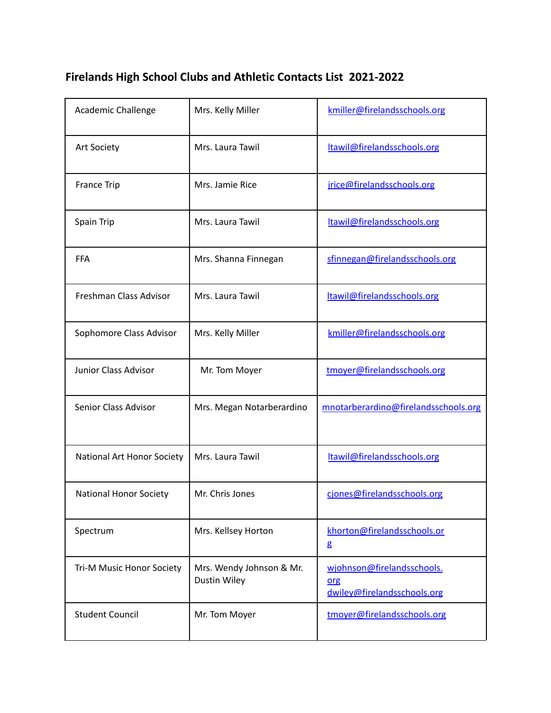## **Firelands High School Clubs and Athletic Contacts List 2021-2022**

| Academic Challenge            | Mrs. Kelly Miller                               | kmiller@firelandsschools.org                                     |
|-------------------------------|-------------------------------------------------|------------------------------------------------------------------|
| <b>Art Society</b>            | Mrs. Laura Tawil                                | ltawil@firelandsschools.org                                      |
| <b>France Trip</b>            | Mrs. Jamie Rice                                 | jrice@firelandsschools.org                                       |
| Spain Trip                    | Mrs. Laura Tawil                                | ltawil@firelandsschools.org                                      |
| <b>FFA</b>                    | Mrs. Shanna Finnegan                            | sfinnegan@firelandsschools.org                                   |
| Freshman Class Advisor        | Mrs. Laura Tawil                                | ltawil@firelandsschools.org                                      |
| Sophomore Class Advisor       | Mrs. Kelly Miller                               | kmiller@firelandsschools.org                                     |
| Junior Class Advisor          | Mr. Tom Moyer                                   | tmoyer@firelandsschools.org                                      |
| Senior Class Advisor          | Mrs. Megan Notarberardino                       | mnotarberardino@firelandsschools.org                             |
| National Art Honor Society    | Mrs. Laura Tawil                                | ltawil@firelandsschools.org                                      |
| <b>National Honor Society</b> | Mr. Chris Jones                                 | cjones@firelandsschools.org                                      |
| Spectrum                      | Mrs. Kellsey Horton                             | khorton@firelandsschools.or<br>g                                 |
| Tri-M Music Honor Society     | Mrs. Wendy Johnson & Mr.<br><b>Dustin Wiley</b> | wjohnson@firelandsschools.<br>org<br>dwiley@firelandsschools.org |
| <b>Student Council</b>        | Mr. Tom Moyer                                   | tmoyer@firelandsschools.org                                      |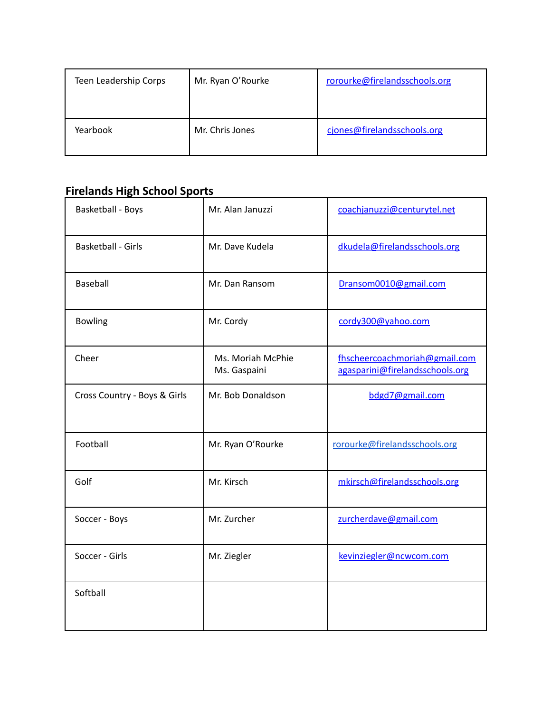| Teen Leadership Corps | Mr. Ryan O'Rourke | rorourke@firelandsschools.org |
|-----------------------|-------------------|-------------------------------|
| Yearbook              | Mr. Chris Jones   | cjones@firelandsschools.org   |

## **Firelands High School Sports**

| <b>Basketball - Boys</b>     | Mr. Alan Januzzi                  | coachjanuzzi@centurytel.net                                      |
|------------------------------|-----------------------------------|------------------------------------------------------------------|
| <b>Basketball - Girls</b>    | Mr. Dave Kudela                   | dkudela@firelandsschools.org                                     |
| <b>Baseball</b>              | Mr. Dan Ransom                    | Dransom0010@gmail.com                                            |
| <b>Bowling</b>               | Mr. Cordy                         | cordy300@yahoo.com                                               |
| Cheer                        | Ms. Moriah McPhie<br>Ms. Gaspaini | fhscheercoachmoriah@gmail.com<br>agasparini@firelandsschools.org |
| Cross Country - Boys & Girls | Mr. Bob Donaldson                 | bdgd7@gmail.com                                                  |
| Football                     | Mr. Ryan O'Rourke                 | rorourke@firelandsschools.org                                    |
| Golf                         | Mr. Kirsch                        | mkirsch@firelandsschools.org                                     |
| Soccer - Boys                | Mr. Zurcher                       | zurcherdave@gmail.com                                            |
| Soccer - Girls               | Mr. Ziegler                       | kevinziegler@ncwcom.com                                          |
| Softball                     |                                   |                                                                  |